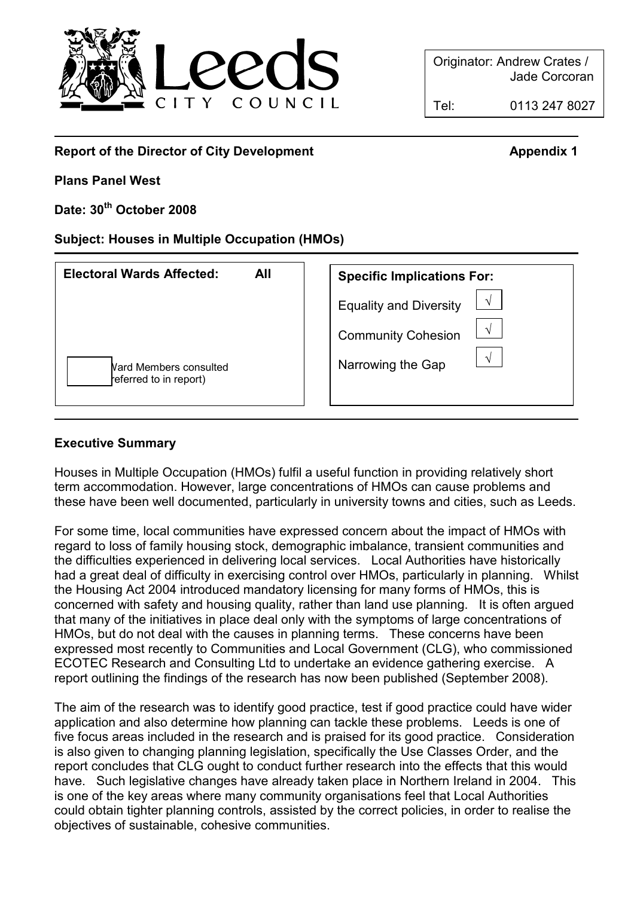

Originator: Andrew Crates / Jade Corcoran

Tel: 0113 247 8027

#### -Report of the Director of City Development Appendix 1

Plans Panel West

Date: 30<sup>th</sup> October 2008

Subject: Houses in Multiple Occupation (HMOs)

| <b>Electoral Wards Affected:</b><br>All                 | <b>Specific Implications For:</b>       |
|---------------------------------------------------------|-----------------------------------------|
|                                                         | <b>Equality and Diversity</b>           |
|                                                         | <b>Community Cohesion</b><br>$\sqrt{ }$ |
| <b>Nard Members consulted</b><br>referred to in report) | $\sqrt{ }$<br>Narrowing the Gap         |

## Executive Summary

Houses in Multiple Occupation (HMOs) fulfil a useful function in providing relatively short term accommodation. However, large concentrations of HMOs can cause problems and these have been well documented, particularly in university towns and cities, such as Leeds.

For some time, local communities have expressed concern about the impact of HMOs with regard to loss of family housing stock, demographic imbalance, transient communities and the difficulties experienced in delivering local services. Local Authorities have historically had a great deal of difficulty in exercising control over HMOs, particularly in planning. Whilst the Housing Act 2004 introduced mandatory licensing for many forms of HMOs, this is concerned with safety and housing quality, rather than land use planning. It is often argued that many of the initiatives in place deal only with the symptoms of large concentrations of HMOs, but do not deal with the causes in planning terms. These concerns have been expressed most recently to Communities and Local Government (CLG), who commissioned ECOTEC Research and Consulting Ltd to undertake an evidence gathering exercise. A report outlining the findings of the research has now been published (September 2008).

The aim of the research was to identify good practice, test if good practice could have wider application and also determine how planning can tackle these problems. Leeds is one of five focus areas included in the research and is praised for its good practice. Consideration is also given to changing planning legislation, specifically the Use Classes Order, and the report concludes that CLG ought to conduct further research into the effects that this would have. Such legislative changes have already taken place in Northern Ireland in 2004. This is one of the key areas where many community organisations feel that Local Authorities could obtain tighter planning controls, assisted by the correct policies, in order to realise the objectives of sustainable, cohesive communities.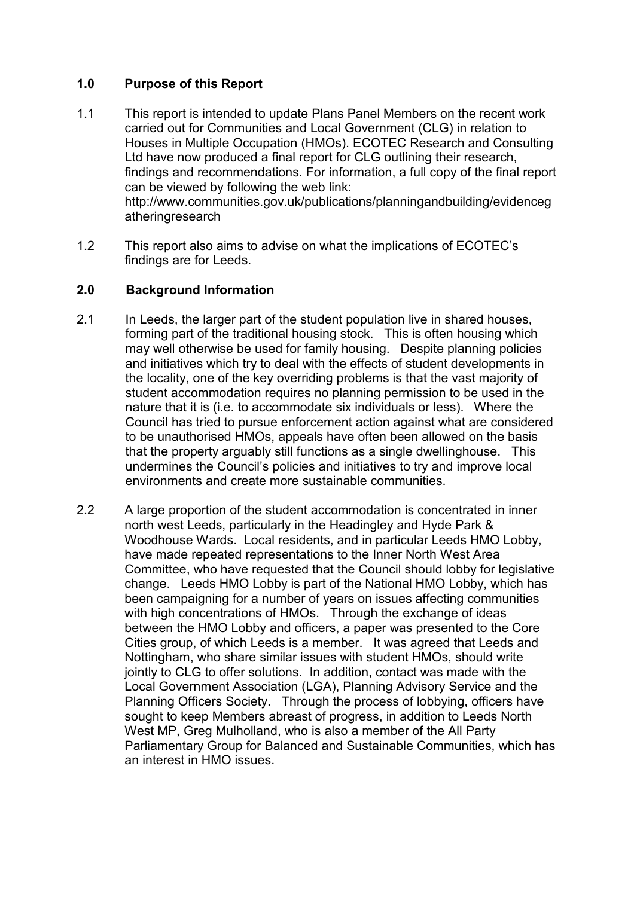## 1.0 Purpose of this Report

- 1.1 This report is intended to update Plans Panel Members on the recent work carried out for Communities and Local Government (CLG) in relation to Houses in Multiple Occupation (HMOs). ECOTEC Research and Consulting Ltd have now produced a final report for CLG outlining their research, findings and recommendations. For information, a full copy of the final report can be viewed by following the web link: http://www.communities.gov.uk/publications/planningandbuilding/evidenceg atheringresearch
- 1.2 This report also aims to advise on what the implications of ECOTEC's findings are for Leeds.

### 2.0 Background Information

- 2.1 In Leeds, the larger part of the student population live in shared houses, forming part of the traditional housing stock. This is often housing which may well otherwise be used for family housing. Despite planning policies and initiatives which try to deal with the effects of student developments in the locality, one of the key overriding problems is that the vast majority of student accommodation requires no planning permission to be used in the nature that it is (i.e. to accommodate six individuals or less). Where the Council has tried to pursue enforcement action against what are considered to be unauthorised HMOs, appeals have often been allowed on the basis that the property arguably still functions as a single dwellinghouse. This undermines the Council's policies and initiatives to try and improve local environments and create more sustainable communities.
- 2.2 A large proportion of the student accommodation is concentrated in inner north west Leeds, particularly in the Headingley and Hyde Park & Woodhouse Wards. Local residents, and in particular Leeds HMO Lobby, have made repeated representations to the Inner North West Area Committee, who have requested that the Council should lobby for legislative change. Leeds HMO Lobby is part of the National HMO Lobby, which has been campaigning for a number of years on issues affecting communities with high concentrations of HMOs. Through the exchange of ideas between the HMO Lobby and officers, a paper was presented to the Core Cities group, of which Leeds is a member. It was agreed that Leeds and Nottingham, who share similar issues with student HMOs, should write jointly to CLG to offer solutions. In addition, contact was made with the Local Government Association (LGA), Planning Advisory Service and the Planning Officers Society. Through the process of lobbying, officers have sought to keep Members abreast of progress, in addition to Leeds North West MP, Greg Mulholland, who is also a member of the All Party Parliamentary Group for Balanced and Sustainable Communities, which has an interest in HMO issues.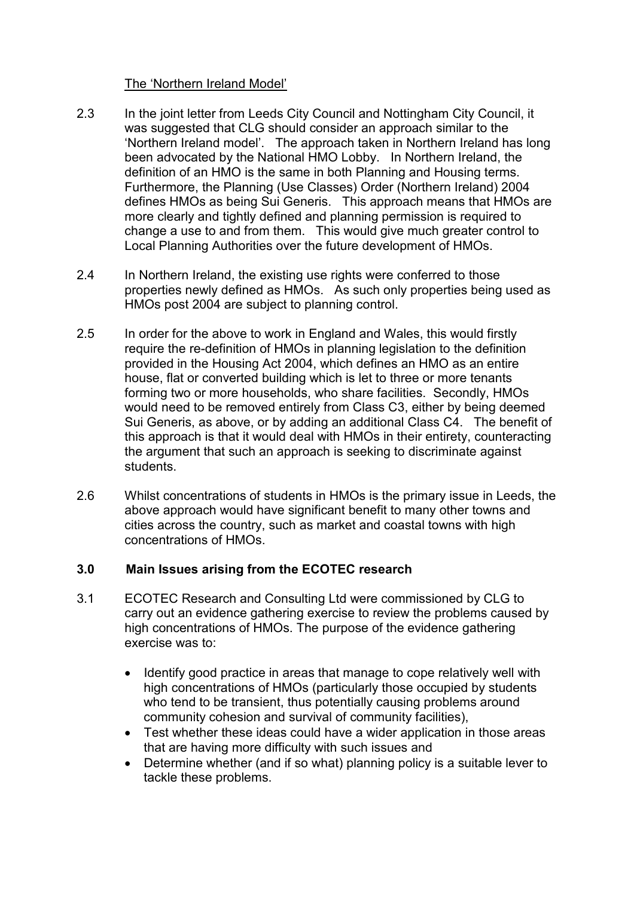#### The 'Northern Ireland Model'

- 2.3 In the joint letter from Leeds City Council and Nottingham City Council, it was suggested that CLG should consider an approach similar to the 'Northern Ireland model'. The approach taken in Northern Ireland has long been advocated by the National HMO Lobby. In Northern Ireland, the definition of an HMO is the same in both Planning and Housing terms. Furthermore, the Planning (Use Classes) Order (Northern Ireland) 2004 defines HMOs as being Sui Generis. This approach means that HMOs are more clearly and tightly defined and planning permission is required to change a use to and from them. This would give much greater control to Local Planning Authorities over the future development of HMOs.
- 2.4 In Northern Ireland, the existing use rights were conferred to those properties newly defined as HMOs. As such only properties being used as HMOs post 2004 are subject to planning control.
- 2.5 In order for the above to work in England and Wales, this would firstly require the re-definition of HMOs in planning legislation to the definition provided in the Housing Act 2004, which defines an HMO as an entire house, flat or converted building which is let to three or more tenants forming two or more households, who share facilities. Secondly, HMOs would need to be removed entirely from Class C3, either by being deemed Sui Generis, as above, or by adding an additional Class C4. The benefit of this approach is that it would deal with HMOs in their entirety, counteracting the argument that such an approach is seeking to discriminate against students.
- 2.6 Whilst concentrations of students in HMOs is the primary issue in Leeds, the above approach would have significant benefit to many other towns and cities across the country, such as market and coastal towns with high concentrations of HMOs.

## 3.0 Main Issues arising from the ECOTEC research

- 3.1 ECOTEC Research and Consulting Ltd were commissioned by CLG to carry out an evidence gathering exercise to review the problems caused by high concentrations of HMOs. The purpose of the evidence gathering exercise was to:
	- Identify good practice in areas that manage to cope relatively well with high concentrations of HMOs (particularly those occupied by students who tend to be transient, thus potentially causing problems around community cohesion and survival of community facilities),
	- Test whether these ideas could have a wider application in those areas that are having more difficulty with such issues and
	- Determine whether (and if so what) planning policy is a suitable lever to tackle these problems.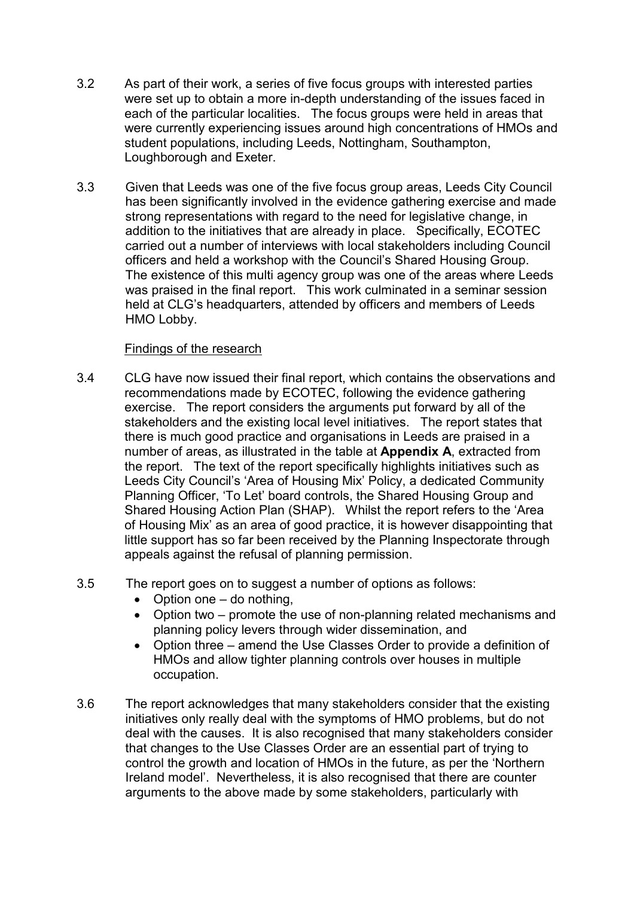- 3.2 As part of their work, a series of five focus groups with interested parties were set up to obtain a more in-depth understanding of the issues faced in each of the particular localities. The focus groups were held in areas that were currently experiencing issues around high concentrations of HMOs and student populations, including Leeds, Nottingham, Southampton, Loughborough and Exeter.
- 3.3 Given that Leeds was one of the five focus group areas, Leeds City Council has been significantly involved in the evidence gathering exercise and made strong representations with regard to the need for legislative change, in addition to the initiatives that are already in place. Specifically, ECOTEC carried out a number of interviews with local stakeholders including Council officers and held a workshop with the Council's Shared Housing Group. The existence of this multi agency group was one of the areas where Leeds was praised in the final report. This work culminated in a seminar session held at CLG's headquarters, attended by officers and members of Leeds HMO Lobby.

#### Findings of the research

- 3.4 CLG have now issued their final report, which contains the observations and recommendations made by ECOTEC, following the evidence gathering exercise. The report considers the arguments put forward by all of the stakeholders and the existing local level initiatives. The report states that there is much good practice and organisations in Leeds are praised in a number of areas, as illustrated in the table at Appendix A, extracted from the report. The text of the report specifically highlights initiatives such as Leeds City Council's 'Area of Housing Mix' Policy, a dedicated Community Planning Officer, 'To Let' board controls, the Shared Housing Group and Shared Housing Action Plan (SHAP). Whilst the report refers to the 'Area of Housing Mix' as an area of good practice, it is however disappointing that little support has so far been received by the Planning Inspectorate through appeals against the refusal of planning permission.
- 3.5 The report goes on to suggest a number of options as follows:
	- Option one do nothing,
	- Option two promote the use of non-planning related mechanisms and planning policy levers through wider dissemination, and
	- Option three amend the Use Classes Order to provide a definition of HMOs and allow tighter planning controls over houses in multiple occupation.
- 3.6 The report acknowledges that many stakeholders consider that the existing initiatives only really deal with the symptoms of HMO problems, but do not deal with the causes. It is also recognised that many stakeholders consider that changes to the Use Classes Order are an essential part of trying to control the growth and location of HMOs in the future, as per the 'Northern Ireland model'. Nevertheless, it is also recognised that there are counter arguments to the above made by some stakeholders, particularly with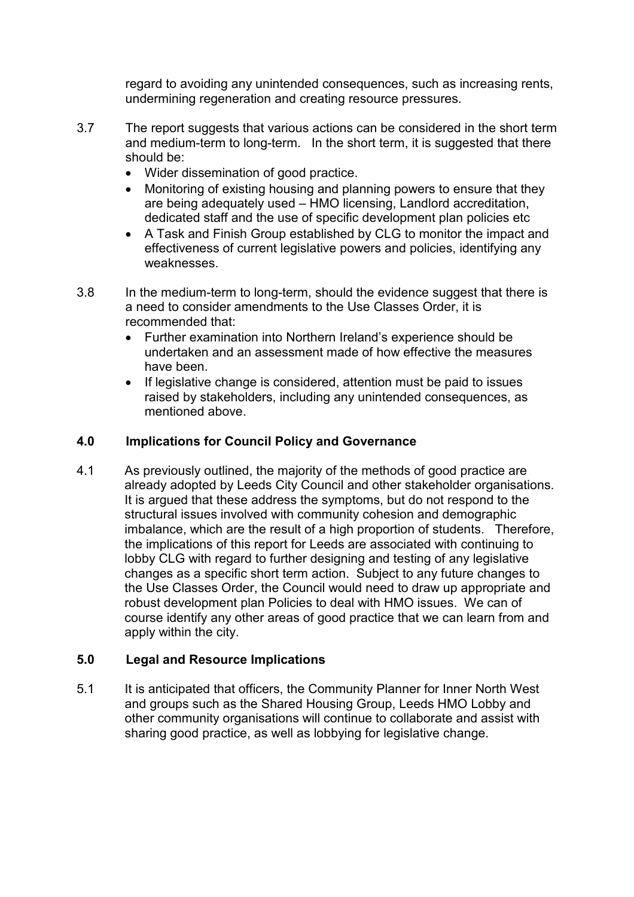regard to avoiding any unintended consequences, such as increasing rents, undermining regeneration and creating resource pressures.

- 3.7 The report suggests that various actions can be considered in the short term and medium-term to long-term. In the short term, it is suggested that there should be:
	- Wider dissemination of good practice.
	- Monitoring of existing housing and planning powers to ensure that they are being adequately used – HMO licensing, Landlord accreditation, dedicated staff and the use of specific development plan policies etc
	- A Task and Finish Group established by CLG to monitor the impact and effectiveness of current legislative powers and policies, identifying any weaknesses.
- 3.8 In the medium-term to long-term, should the evidence suggest that there is a need to consider amendments to the Use Classes Order, it is recommended that:
	- Further examination into Northern Ireland's experience should be undertaken and an assessment made of how effective the measures have been.
	- If legislative change is considered, attention must be paid to issues raised by stakeholders, including any unintended consequences, as mentioned above.

#### 4.0 Implications for Council Policy and Governance

4.1 As previously outlined, the majority of the methods of good practice are already adopted by Leeds City Council and other stakeholder organisations. It is argued that these address the symptoms, but do not respond to the structural issues involved with community cohesion and demographic imbalance, which are the result of a high proportion of students. Therefore, the implications of this report for Leeds are associated with continuing to lobby CLG with regard to further designing and testing of any legislative changes as a specific short term action. Subject to any future changes to the Use Classes Order, the Council would need to draw up appropriate and robust development plan Policies to deal with HMO issues. We can of course identify any other areas of good practice that we can learn from and apply within the city.

#### 5.0 Legal and Resource Implications

5.1 It is anticipated that officers, the Community Planner for Inner North West and groups such as the Shared Housing Group, Leeds HMO Lobby and other community organisations will continue to collaborate and assist with sharing good practice, as well as lobbying for legislative change.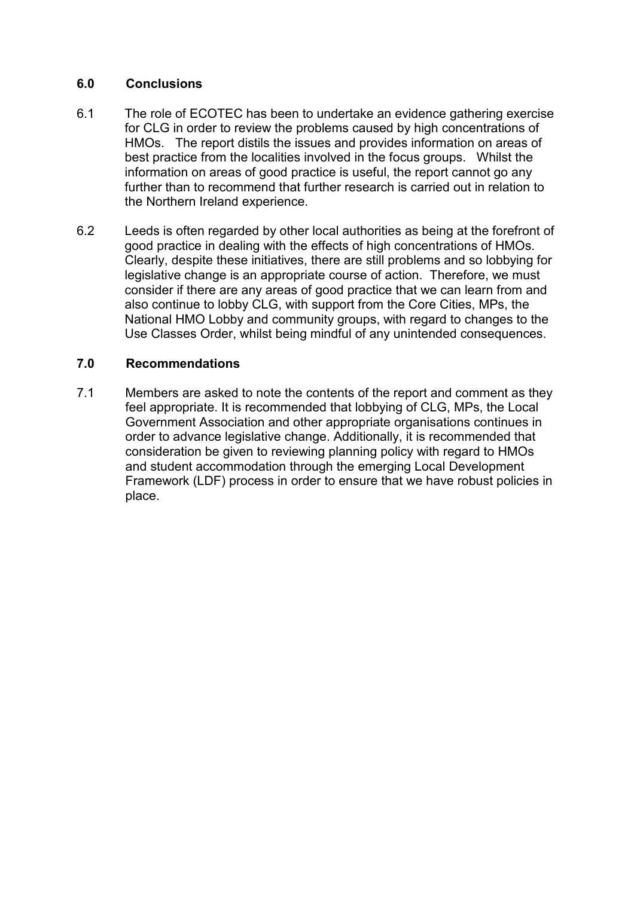#### 6.0 Conclusions

- 6.1 The role of ECOTEC has been to undertake an evidence gathering exercise for CLG in order to review the problems caused by high concentrations of HMOs. The report distils the issues and provides information on areas of best practice from the localities involved in the focus groups. Whilst the information on areas of good practice is useful, the report cannot go any further than to recommend that further research is carried out in relation to the Northern Ireland experience.
- 6.2 Leeds is often regarded by other local authorities as being at the forefront of good practice in dealing with the effects of high concentrations of HMOs. Clearly, despite these initiatives, there are still problems and so lobbying for legislative change is an appropriate course of action. Therefore, we must consider if there are any areas of good practice that we can learn from and also continue to lobby CLG, with support from the Core Cities, MPs, the National HMO Lobby and community groups, with regard to changes to the Use Classes Order, whilst being mindful of any unintended consequences.

## 7.0 Recommendations

7.1 Members are asked to note the contents of the report and comment as they feel appropriate. It is recommended that lobbying of CLG, MPs, the Local Government Association and other appropriate organisations continues in order to advance legislative change. Additionally, it is recommended that consideration be given to reviewing planning policy with regard to HMOs and student accommodation through the emerging Local Development Framework (LDF) process in order to ensure that we have robust policies in place.